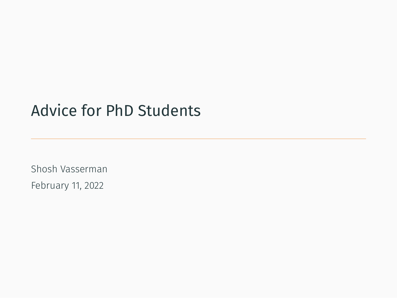# Advice for PhD Students

Shosh Vasserman February 11, 2022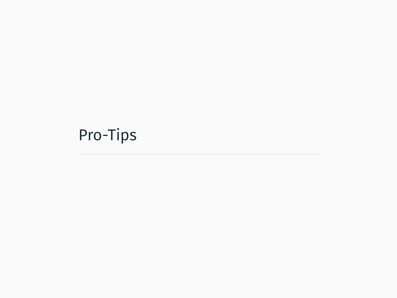# <span id="page-1-0"></span>[Pro-Tips](#page-1-0)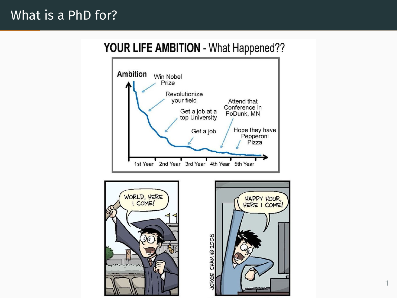#### YOUR LIFE AMBITION - What Happened??





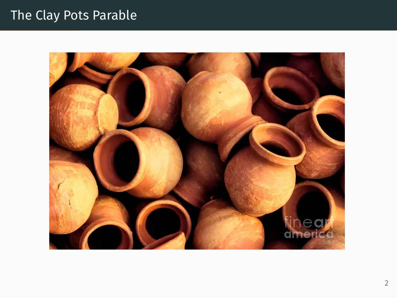# The Clay Pots Parable

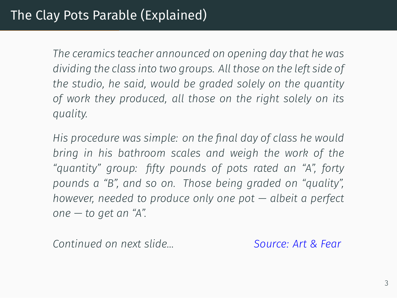*The ceramics teacher announced on opening day that he was dividing the class into two groups. All those on the left side of the studio, he said, would be graded solely on the quantity of work they produced, all those on the right solely on its quality.*

*His procedure was simple: on the final day of class he would bring in his bathroom scales and weigh the work of the "quantity" group: fifty pounds of pots rated an "A", forty pounds a "B", and so on. Those being graded on "quality", however, needed to produce only one pot — albeit a perfect one — to get an "A".*

*Continued on next slide… [Source: Art & Fear](https://forimpact.org/a-story-about-clay-pots-and-making-quality-asks/)*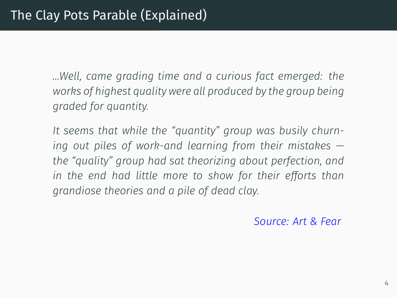*…Well, came grading time and a curious fact emerged: the works of highest quality were all produced by the group being graded for quantity.*

*It seems that while the "quantity" group was busily churning out piles of work-and learning from their mistakes the "quality" group had sat theorizing about perfection, and in the end had little more to show for their efforts than grandiose theories and a pile of dead clay.*

*[Source: Art & Fear](https://forimpact.org/a-story-about-clay-pots-and-making-quality-asks/)*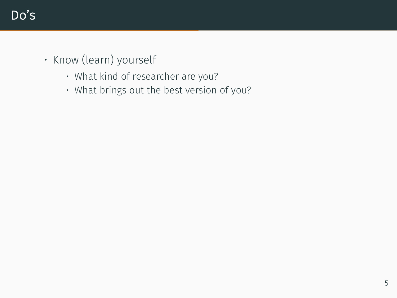- Know (learn) yourself
	- What kind of researcher are you?
	- What brings out the best version of you?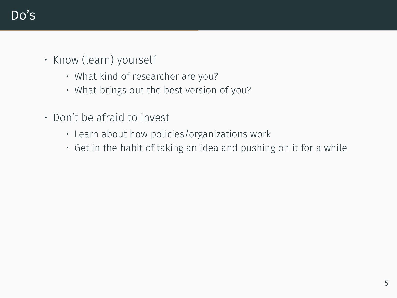- Know (learn) yourself
	- What kind of researcher are you?
	- What brings out the best version of you?
- Don't be afraid to invest
	- Learn about how policies/organizations work
	- Get in the habit of taking an idea and pushing on it for a while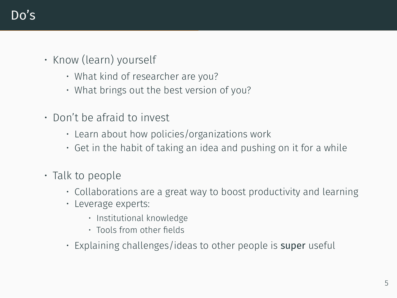- Know (learn) yourself
	- What kind of researcher are you?
	- What brings out the best version of you?
- Don't be afraid to invest
	- Learn about how policies/organizations work
	- Get in the habit of taking an idea and pushing on it for a while
- Talk to people
	- Collaborations are a great way to boost productivity and learning
	- Leverage experts:
		- Institutional knowledge
		- Tools from other fields
	- $\cdot$  Explaining challenges/ideas to other people is super useful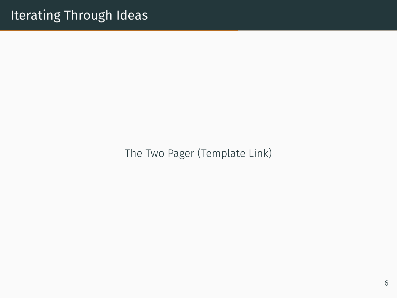[The Two Pager \(Template Link\)](https://shoshanavasserman.com/files/2022/research_pitch_template.pdf)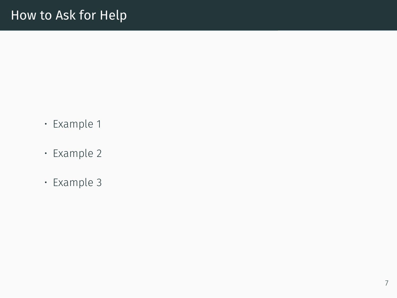- [Example 1](https://discourse.julialang.org/t/domain-troubles-with-differential-equations-solver-with-non-auto-differentiable-function-inside-the-ode-def/13650)
- [Example 2](https://discourse.mc-stan.org/t/quadratic-optimizier/4405)
- [Example 3](https://shoshanavasserman.com/files/2022/question_example.pdf)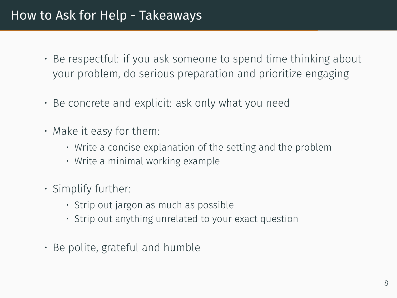#### How to Ask for Help - Takeaways

- Be respectful: if you ask someone to spend time thinking about your problem, do serious preparation and prioritize engaging
- Be concrete and explicit: ask only what you need
- Make it easy for them:
	- Write a concise explanation of the setting and the problem
	- Write a minimal working example
- Simplify further:
	- Strip out jargon as much as possible
	- Strip out anything unrelated to your exact question
- Be polite, grateful and humble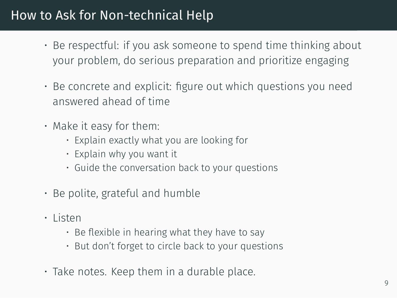## How to Ask for Non-technical Help

- Be respectful: if you ask someone to spend time thinking about your problem, do serious preparation and prioritize engaging
- Be concrete and explicit: figure out which questions you need answered ahead of time
- Make it easy for them:
	- Explain exactly what you are looking for
	- Explain why you want it
	- Guide the conversation back to your questions
- Be polite, grateful and humble
- Listen
	- $\cdot$  Be flexible in hearing what they have to say
	- But don't forget to circle back to your questions
- Take notes. Keep them in a durable place.